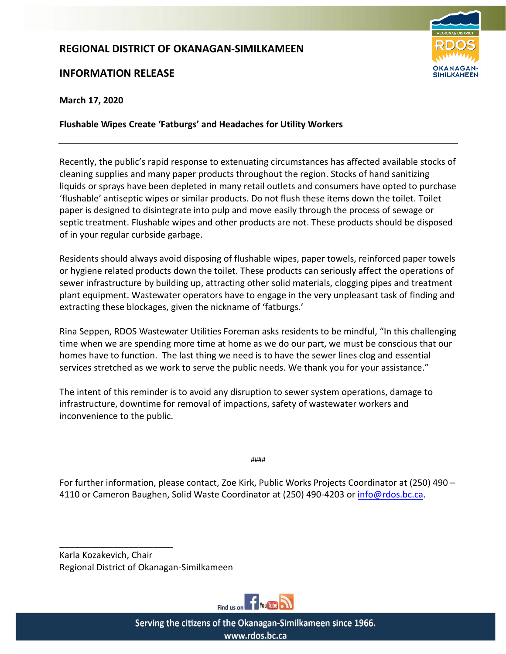## **REGIONAL DISTRICT OF OKANAGAN-SIMILKAMEEN**

## **INFORMATION RELEASE**



**March 17, 2020**

**Flushable Wipes Create 'Fatburgs' and Headaches for Utility Workers** 

Recently, the public's rapid response to extenuating circumstances has affected available stocks of cleaning supplies and many paper products throughout the region. Stocks of hand sanitizing liquids or sprays have been depleted in many retail outlets and consumers have opted to purchase 'flushable' antiseptic wipes or similar products. Do not flush these items down the toilet. Toilet paper is designed to disintegrate into pulp and move easily through the process of sewage or septic treatment. Flushable wipes and other products are not. These products should be disposed of in your regular curbside garbage.

Residents should always avoid disposing of flushable wipes, paper towels, reinforced paper towels or hygiene related products down the toilet. These products can seriously affect the operations of sewer infrastructure by building up, attracting other solid materials, clogging pipes and treatment plant equipment. Wastewater operators have to engage in the very unpleasant task of finding and extracting these blockages, given the nickname of 'fatburgs.'

Rina Seppen, RDOS Wastewater Utilities Foreman asks residents to be mindful, "In this challenging time when we are spending more time at home as we do our part, we must be conscious that our homes have to function. The last thing we need is to have the sewer lines clog and essential services stretched as we work to serve the public needs. We thank you for your assistance."

The intent of this reminder is to avoid any disruption to sewer system operations, damage to infrastructure, downtime for removal of impactions, safety of wastewater workers and inconvenience to the public.

####

For further information, please contact, Zoe Kirk, Public Works Projects Coordinator at (250) 490 – 4110 or Cameron Baughen, Solid Waste Coordinator at (250) 490-4203 o[r info@rdos.bc.ca.](mailto:infor@rdos.bc.ca)

Karla Kozakevich, Chair Regional District of Okanagan-Similkameen

\_\_\_\_\_\_\_\_\_\_\_\_\_\_\_\_\_\_\_\_\_\_\_